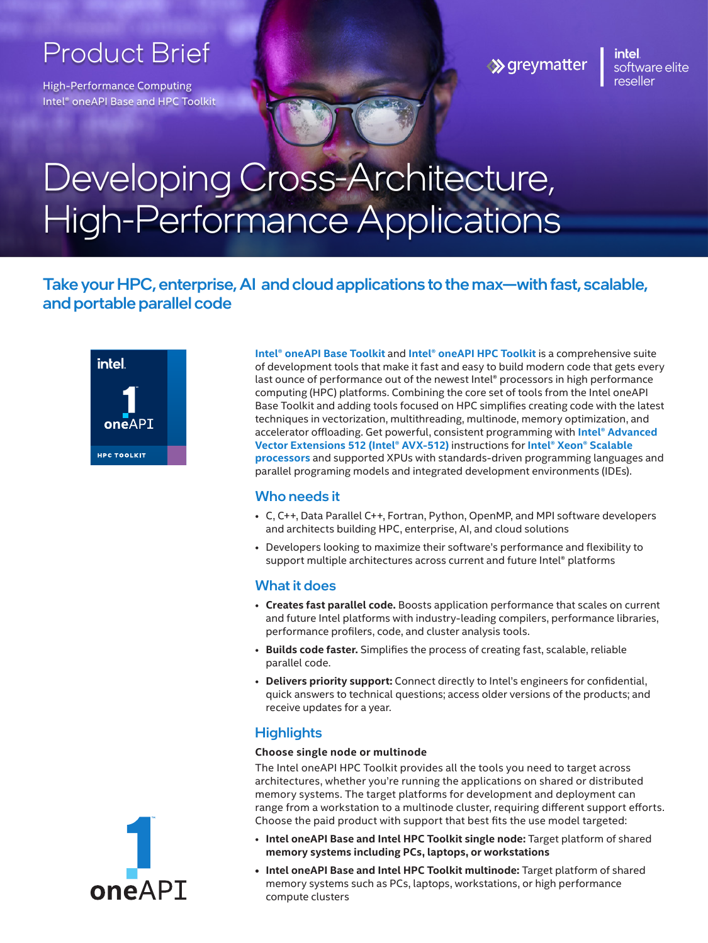# Product Brief

High-Performance Computing Intel® oneAPI Base and HPC Toolkit **≫** greymatter

[|](www.greymatter.com)inte software elite reseller

# Developing Cross-Architecture, High-Performance Applications

Take your HPC, enterprise, AI and cloud applications to the max—with fast, scalable, and portable parallel code



**Intel® oneAPI Base Toolkit** and **Intel® oneAPI HPC Toolkit** is a comprehensive suite of development tools that make it fast and easy to build modern code that gets every last ounce of performance out of the newest Intel® processors in high performance computing (HPC) platforms. Combining the core set of tools from the Intel oneAPI Base Toolkit and adding tools focused on HPC simplifies creating code with the latest techniques in vectorization, multithreading, multinode, memory optimization, and accelerator offloading. Get powerful, consistent programming with **Intel® Advanced Vector Extensions 512 (Intel® AVX-512)** instructions for **Intel® Xeon® Scalable processors** and supported XPUs with standards-driven programming languages and parallel programing models and integrated development environments (IDEs).

# Who needs it

- C, C++, Data Parallel C++, Fortran, Python, OpenMP, and MPI software developers and architects building HPC, enterprise, AI, and cloud solutions
- Developers looking to maximize their software's performance and flexibility to support multiple architectures across current and future Intel® platforms

# What it does

- **Creates fast parallel code.** Boosts application performance that scales on current and future Intel platforms with industry-leading compilers, performance libraries, performance profilers, code, and cluster analysis tools.
- **Builds code faster.** Simplifies the process of creating fast, scalable, reliable parallel code.
- **Delivers priority support:** Connect directly to Intel's engineers for confidential, quick answers to technical questions; access older versions of the products; and receive updates for a year.

# **Highlights**

#### **Choose single node or multinode**

The Intel oneAPI HPC Toolkit provides all the tools you need to target across architectures, whether you're running the applications on shared or distributed memory systems. The target platforms for development and deployment can range from a workstation to a multinode cluster, requiring different support efforts. Choose the paid product with support that best fits the use model targeted:

- **Intel oneAPI Base and Intel HPC Toolkit single node:** Target platform of shared **memory systems including PCs, laptops, or workstations**
- **• Intel oneAPI Base and Intel HPC Toolkit multinode:** Target platform of shared memory systems such as PCs, laptops, workstations, or high performance compute clusters

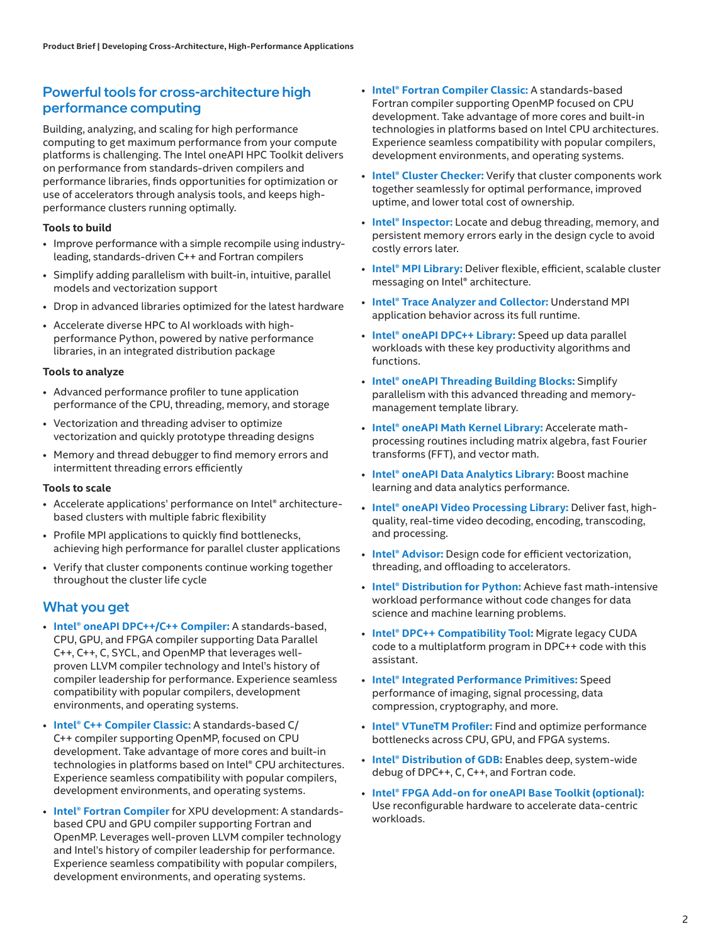# Powerful tools for cross-architecture high performance computing

Building, analyzing, and scaling for high performance computing to get maximum performance from your compute platforms is challenging. The Intel oneAPI HPC Toolkit delivers on performance from standards-driven compilers and performance libraries, finds opportunities for optimization or use of accelerators through analysis tools, and keeps highperformance clusters running optimally.

#### **Tools to build**

- Improve performance with a simple recompile using industryleading, standards-driven C++ and Fortran compilers
- Simplify adding parallelism with built-in, intuitive, parallel models and vectorization support
- Drop in advanced libraries optimized for the latest hardware
- Accelerate diverse HPC to AI workloads with highperformance Python, powered by native performance libraries, in an integrated distribution package

#### **Tools to analyze**

- Advanced performance profiler to tune application performance of the CPU, threading, memory, and storage
- Vectorization and threading adviser to optimize vectorization and quickly prototype threading designs
- Memory and thread debugger to find memory errors and intermittent threading errors efficiently

#### **Tools to scale**

- Accelerate applications' performance on Intel® architecturebased clusters with multiple fabric flexibility
- Profile MPI applications to quickly find bottlenecks, achieving high performance for parallel cluster applications
- Verify that cluster components continue working together throughout the cluster life cycle

#### What you get

- **Intel® oneAPI DPC++/C++ Compiler:** A standards-based, CPU, GPU, and FPGA compiler supporting Data Parallel C++, C++, C, SYCL, and OpenMP that leverages wellproven LLVM compiler technology and Intel's history of compiler leadership for performance. Experience seamless compatibility with popular compilers, development environments, and operating systems.
- **Intel® C++ Compiler Classic:** A standards-based C/ C++ compiler supporting OpenMP, focused on CPU development. Take advantage of more cores and built-in technologies in platforms based on Intel® CPU architectures. Experience seamless compatibility with popular compilers, development environments, and operating systems.
- **Intel® Fortran Compiler** for XPU development: A standardsbased CPU and GPU compiler supporting Fortran and OpenMP. Leverages well-proven LLVM compiler technology and Intel's history of compiler leadership for performance. Experience seamless compatibility with popular compilers, development environments, and operating systems.
- **Intel® Fortran Compiler Classic:** A standards-based Fortran compiler supporting OpenMP focused on CPU development. Take advantage of more cores and built-in technologies in platforms based on Intel CPU architectures. Experience seamless compatibility with popular compilers, development environments, and operating systems.
- **Intel® Cluster Checker:** Verify that cluster components work together seamlessly for optimal performance, improved uptime, and lower total cost of ownership.
- **Intel® Inspector:** Locate and debug threading, memory, and persistent memory errors early in the design cycle to avoid costly errors later.
- **Intel® MPI Library:** Deliver flexible, efficient, scalable cluster messaging on Intel® architecture.
- **Intel® Trace Analyzer and Collector:** Understand MPI application behavior across its full runtime.
- **Intel® oneAPI DPC++ Library:** Speed up data parallel workloads with these key productivity algorithms and functions.
- **Intel® oneAPI Threading Building Blocks:** Simplify parallelism with this advanced threading and memorymanagement template library.
- **Intel® oneAPI Math Kernel Library:** Accelerate mathprocessing routines including matrix algebra, fast Fourier transforms (FFT), and vector math.
- **Intel® oneAPI Data Analytics Library:** Boost machine learning and data analytics performance.
- **Intel® oneAPI Video Processing Library:** Deliver fast, highquality, real-time video decoding, encoding, transcoding, and processing.
- **Intel® Advisor:** Design code for efficient vectorization, threading, and offloading to accelerators.
- **Intel® Distribution for Python:** Achieve fast math-intensive workload performance without code changes for data science and machine learning problems.
- **Intel® DPC++ Compatibility Tool:** Migrate legacy CUDA code to a multiplatform program in DPC++ code with this assistant.
- **Intel® Integrated Performance Primitives:** Speed performance of imaging, signal processing, data compression, cryptography, and more.
- **Intel® VTuneTM Profiler:** Find and optimize performance bottlenecks across CPU, GPU, and FPGA systems.
- **Intel® Distribution of GDB:** Enables deep, system-wide debug of DPC++, C, C++, and Fortran code.
- **Intel® FPGA Add-on for oneAPI Base Toolkit (optional):** Use reconfigurable hardware to accelerate data-centric workloads.